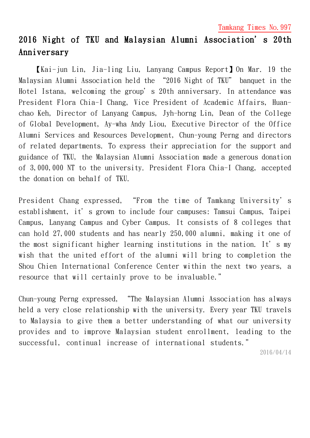Tamkang Times No.997

## 2016 Night of TKU and Malaysian Alumni Association's 20th Anniversary

【Kai-jun Lin, Jia-ling Liu, Lanyang Campus Report】On Mar. 19 the Malaysian Alumni Association held the "2016 Night of TKU" banquet in the Hotel Istana, welcoming the group's 20th anniversary. In attendance was President Flora Chia-I Chang, Vice President of Academic Affairs, Huanchao Keh, Director of Lanyang Campus, Jyh-horng Lin, Dean of the College of Global Development, Ay-wha Andy Liou, Executive Director of the Office Alumni Services and Resources Development, Chun-young Perng and directors of related departments. To express their appreciation for the support and guidance of TKU, the Malaysian Alumni Association made a generous donation of 3,000,000 NT to the university. President Flora Chia-I Chang, accepted the donation on behalf of TKU.

President Chang expressed, "From the time of Tamkang University's establishment, it's grown to include four campuses: Tamsui Campus, Taipei Campus, Lanyang Campus and Cyber Campus. It consists of 8 colleges that can hold 27,000 students and has nearly 250,000 alumni, making it one of the most significant higher learning institutions in the nation. It's my wish that the united effort of the alumni will bring to completion the Shou Chien International Conference Center within the next two years, a resource that will certainly prove to be invaluable."

Chun-young Perng expressed, "The Malaysian Alumni Association has always held a very close relationship with the university. Every year TKU travels to Malaysia to give them a better understanding of what our university provides and to improve Malaysian student enrollment, leading to the successful, continual increase of international students."

2016/04/14